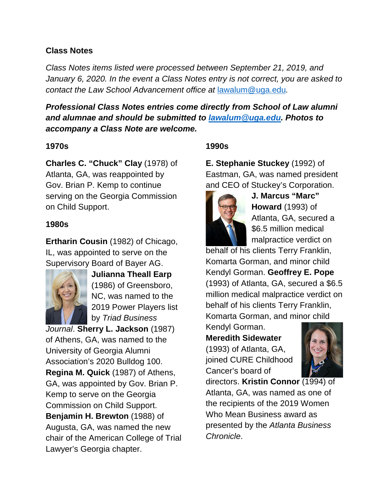### **Class Notes**

*Class Notes items listed were processed between September 21, 2019, and January 6, 2020. In the event a Class Notes entry is not correct, you are asked to contact the Law School Advancement office at* [lawalum@uga.edu](mailto:lawalum@uga.edu)*.*

*Professional Class Notes entries come directly from School of Law alumni and alumnae and should be submitted to [lawalum@uga.edu.](mailto:lawalum@uga.edu) Photos to accompany a Class Note are welcome.*

### **1970s**

**Charles C. "Chuck" Clay** (1978) of Atlanta, GA, was reappointed by Gov. Brian P. Kemp to continue serving on the Georgia Commission on Child Support.

### **1980s**

**Ertharin Cousin** (1982) of Chicago, IL, was appointed to serve on the Supervisory Board of Bayer AG.



**Julianna Theall Earp** (1986) of Greensboro, NC, was named to the 2019 Power Players list by *Triad Business* 

*Journal*. **Sherry L. Jackson** (1987) of Athens, GA, was named to the University of Georgia Alumni Association's 2020 Bulldog 100. **Regina M. Quick** (1987) of Athens, GA, was appointed by Gov. Brian P. Kemp to serve on the Georgia Commission on Child Support. **Benjamin H. Brewton** (1988) of Augusta, GA, was named the new chair of the American College of Trial Lawyer's Georgia chapter.

# **1990s**

**E. Stephanie Stuckey** (1992) of Eastman, GA, was named president and CEO of Stuckey's Corporation.



**J. Marcus "Marc" Howard** (1993) of Atlanta, GA, secured a \$6.5 million medical malpractice verdict on

behalf of his clients Terry Franklin, Komarta Gorman, and minor child Kendyl Gorman. **Geoffrey E. Pope**  (1993) of Atlanta, GA, secured a \$6.5 million medical malpractice verdict on behalf of his clients Terry Franklin, Komarta Gorman, and minor child

Kendyl Gorman. **Meredith Sidewater**  (1993) of Atlanta, GA, joined CURE Childhood

Cancer's board of



directors. **Kristin Connor** (1994) of Atlanta, GA, was named as one of the recipients of the 2019 Women Who Mean Business award as presented by the *Atlanta Business Chronicle*.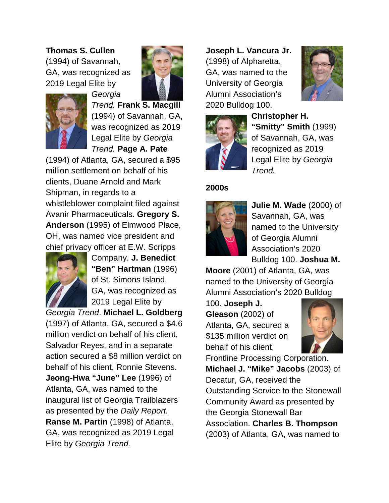**Thomas S. Cullen** (1994) of Savannah, GA, was recognized as 2019 Legal Elite by

*Georgia* 





*Trend.* **Frank S. Macgill** (1994) of Savannah, GA, was recognized as 2019 Legal Elite by *Georgia Trend.* **Page A. Pate**

(1994) of Atlanta, GA, secured a \$95 million settlement on behalf of his clients, Duane Arnold and Mark Shipman, in regards to a whistleblower complaint filed against Avanir Pharmaceuticals. **Gregory S. Anderson** (1995) of Elmwood Place, OH, was named vice president and chief privacy officer at E.W. Scripps



Company. **J. Benedict "Ben" Hartman** (1996) of St. Simons Island, GA, was recognized as 2019 Legal Elite by

*Georgia Trend*. **Michael L. Goldberg**  (1997) of Atlanta, GA, secured a \$4.6 million verdict on behalf of his client, Salvador Reyes, and in a separate action secured a \$8 million verdict on behalf of his client, Ronnie Stevens. **Jeong-Hwa "June" Lee** (1996) of Atlanta, GA, was named to the inaugural list of Georgia Trailblazers as presented by the *Daily Report.* **Ranse M. Partin** (1998) of Atlanta, GA, was recognized as 2019 Legal Elite by *Georgia Trend.* 

**Joseph L. Vancura Jr.**  (1998) of Alpharetta, GA, was named to the University of Georgia Alumni Association's 2020 Bulldog 100.





**Christopher H. "Smitty" Smith** (1999) of Savannah, GA, was recognized as 2019 Legal Elite by *Georgia Trend.*

## **2000s**



**Julie M. Wade** (2000) of Savannah, GA, was named to the University of Georgia Alumni Association's 2020 Bulldog 100. **Joshua M.** 

**Moore** (2001) of Atlanta, GA, was named to the University of Georgia Alumni Association's 2020 Bulldog

100. **Joseph J. Gleason** (2002) of Atlanta, GA, secured a \$135 million verdict on behalf of his client,



Frontline Processing Corporation. **Michael J. "Mike" Jacobs** (2003) of Decatur, GA, received the Outstanding Service to the Stonewall Community Award as presented by the Georgia Stonewall Bar Association. **Charles B. Thompson** (2003) of Atlanta, GA, was named to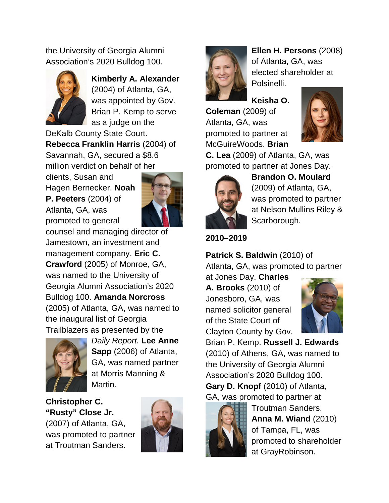the University of Georgia Alumni Association's 2020 Bulldog 100.



**Kimberly A. Alexander** (2004) of Atlanta, GA, was appointed by Gov. Brian P. Kemp to serve as a judge on the

DeKalb County State Court. **Rebecca Franklin Harris** (2004) of Savannah, GA, secured a \$8.6 million verdict on behalf of her

clients, Susan and Hagen Bernecker. **Noah P. Peeters** (2004) of Atlanta, GA, was promoted to general



counsel and managing director of Jamestown, an investment and management company. **Eric C. Crawford** (2005) of Monroe, GA, was named to the University of Georgia Alumni Association's 2020 Bulldog 100. **Amanda Norcross** (2005) of Atlanta, GA, was named to the inaugural list of Georgia Trailblazers as presented by the



*Daily Report.* **Lee Anne Sapp** (2006) of Atlanta, GA, was named partner at Morris Manning & Martin.

**Christopher C. "Rusty" Close Jr.** (2007) of Atlanta, GA, was promoted to partner at Troutman Sanders.





**Ellen H. Persons** (2008) of Atlanta, GA, was elected shareholder at Polsinelli.

**Keisha O.** 

**Coleman** (2009) of Atlanta, GA, was promoted to partner at McGuireWoods. **Brian** 



**C. Lea** (2009) of Atlanta, GA, was promoted to partner at Jones Day.



**Brandon O. Moulard** (2009) of Atlanta, GA, was promoted to partner at Nelson Mullins Riley & Scarborough.

# **2010–2019**

**Patrick S. Baldwin** (2010) of Atlanta, GA, was promoted to partner

at Jones Day. **Charles A. Brooks** (2010) of Jonesboro, GA, was named solicitor general of the State Court of Clayton County by Gov.



Brian P. Kemp. **Russell J. Edwards** (2010) of Athens, GA, was named to the University of Georgia Alumni Association's 2020 Bulldog 100. **Gary D. Knopf** (2010) of Atlanta, GA, was promoted to partner at



Troutman Sanders. **Anna M. Wiand** (2010) of Tampa, FL, was promoted to shareholder at GrayRobinson.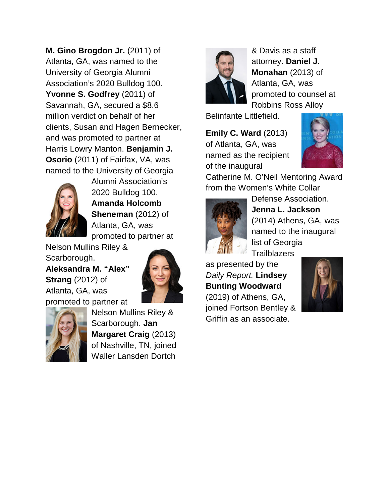**M. Gino Brogdon Jr.** (2011) of Atlanta, GA, was named to the University of Georgia Alumni Association's 2020 Bulldog 100. **Yvonne S. Godfrey** (2011) of Savannah, GA, secured a \$8.6 million verdict on behalf of her clients, Susan and Hagen Bernecker, and was promoted to partner at Harris Lowry Manton. **Benjamin J. Osorio** (2011) of Fairfax, VA, was named to the University of Georgia



Alumni Association's 2020 Bulldog 100. **Amanda Holcomb Sheneman** (2012) of Atlanta, GA, was promoted to partner at

Nelson Mullins Riley & Scarborough. **Aleksandra M. "Alex"** 

**Strang** (2012) of Atlanta, GA, was promoted to partner at





Nelson Mullins Riley & Scarborough. **Jan Margaret Craig** (2013) of Nashville, TN, joined Waller Lansden Dortch



& Davis as a staff attorney. **Daniel J. Monahan** (2013) of Atlanta, GA, was promoted to counsel at Robbins Ross Alloy

Belinfante Littlefield.

**Emily C. Ward** (2013) of Atlanta, GA, was named as the recipient of the inaugural



Catherine M. O'Neil Mentoring Award from the Women's White Collar



Defense Association. **Jenna L. Jackson** (2014) Athens, GA, was named to the inaugural list of Georgia **Trailblazers** 

as presented by the *Daily Report.* **Lindsey Bunting Woodward**  (2019) of Athens, GA, joined Fortson Bentley & Griffin as an associate.